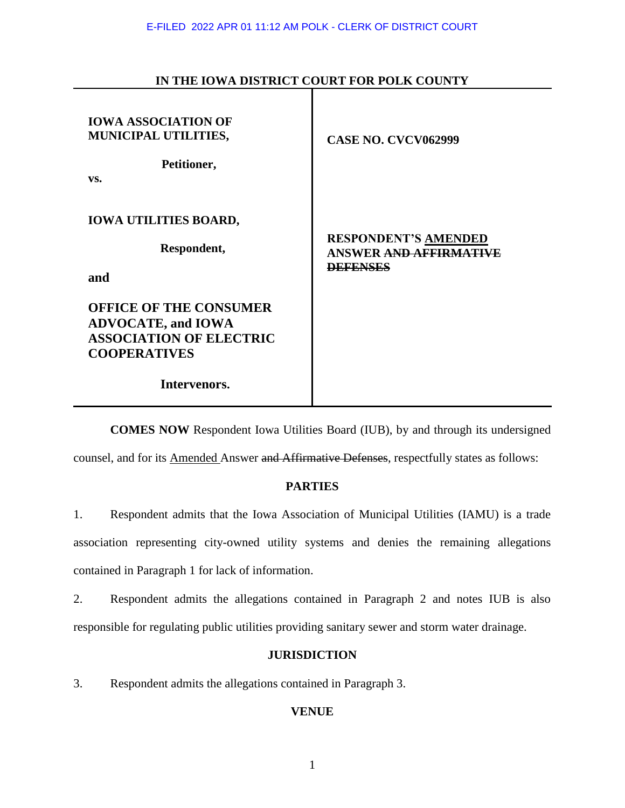| <b>IOWA ASSOCIATION OF</b><br>MUNICIPAL UTILITIES,<br>Petitioner,<br>VS.                                                            | <b>CASE NO. CVCV062999</b>                                                      |
|-------------------------------------------------------------------------------------------------------------------------------------|---------------------------------------------------------------------------------|
| <b>IOWA UTILITIES BOARD,</b><br>Respondent,<br>and                                                                                  | <b>RESPONDENT'S AMENDED</b><br><b>ANSWER AND AFFIRMATIVE</b><br><b>DEFENSES</b> |
| <b>OFFICE OF THE CONSUMER</b><br><b>ADVOCATE, and IOWA</b><br><b>ASSOCIATION OF ELECTRIC</b><br><b>COOPERATIVES</b><br>Intervenors. |                                                                                 |

# **IN THE IOWA DISTRICT COURT FOR POLK COUNTY**

**COMES NOW** Respondent Iowa Utilities Board (IUB), by and through its undersigned

counsel, and for its Amended Answer and Affirmative Defenses, respectfully states as follows:

## **PARTIES**

1. Respondent admits that the Iowa Association of Municipal Utilities (IAMU) is a trade association representing city-owned utility systems and denies the remaining allegations contained in Paragraph 1 for lack of information.

2. Respondent admits the allegations contained in Paragraph 2 and notes IUB is also responsible for regulating public utilities providing sanitary sewer and storm water drainage.

## **JURISDICTION**

3. Respondent admits the allegations contained in Paragraph 3.

## **VENUE**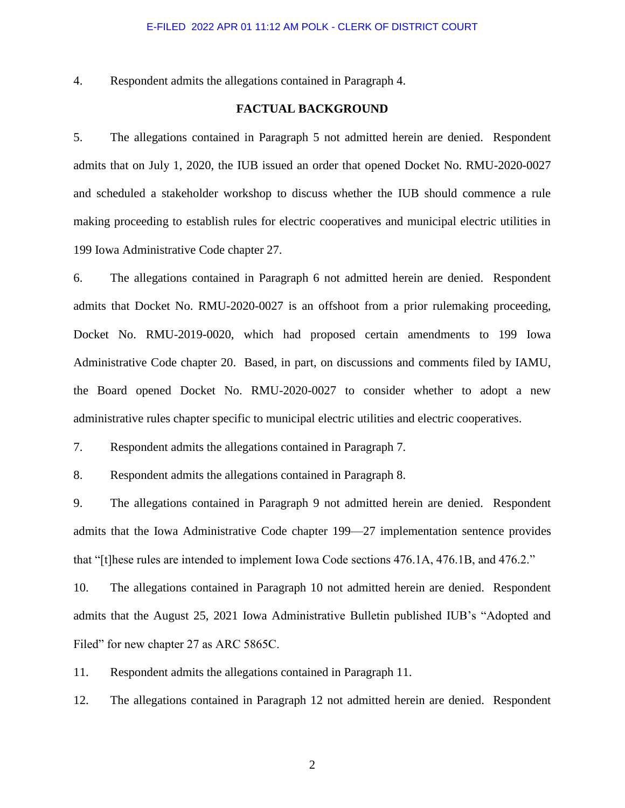4. Respondent admits the allegations contained in Paragraph 4.

### **FACTUAL BACKGROUND**

5. The allegations contained in Paragraph 5 not admitted herein are denied. Respondent admits that on July 1, 2020, the IUB issued an order that opened Docket No. RMU-2020-0027 and scheduled a stakeholder workshop to discuss whether the IUB should commence a rule making proceeding to establish rules for electric cooperatives and municipal electric utilities in 199 Iowa Administrative Code chapter 27.

6. The allegations contained in Paragraph 6 not admitted herein are denied. Respondent admits that Docket No. RMU-2020-0027 is an offshoot from a prior rulemaking proceeding, Docket No. RMU-2019-0020, which had proposed certain amendments to 199 Iowa Administrative Code chapter 20. Based, in part, on discussions and comments filed by IAMU, the Board opened Docket No. RMU-2020-0027 to consider whether to adopt a new administrative rules chapter specific to municipal electric utilities and electric cooperatives.

7. Respondent admits the allegations contained in Paragraph 7.

8. Respondent admits the allegations contained in Paragraph 8.

9. The allegations contained in Paragraph 9 not admitted herein are denied. Respondent admits that the Iowa Administrative Code chapter 199—27 implementation sentence provides that "[t]hese rules are intended to implement Iowa Code sections 476.1A, 476.1B, and 476.2."

10. The allegations contained in Paragraph 10 not admitted herein are denied. Respondent admits that the August 25, 2021 Iowa Administrative Bulletin published IUB's "Adopted and Filed" for new chapter 27 as ARC 5865C.

11. Respondent admits the allegations contained in Paragraph 11.

12. The allegations contained in Paragraph 12 not admitted herein are denied. Respondent

2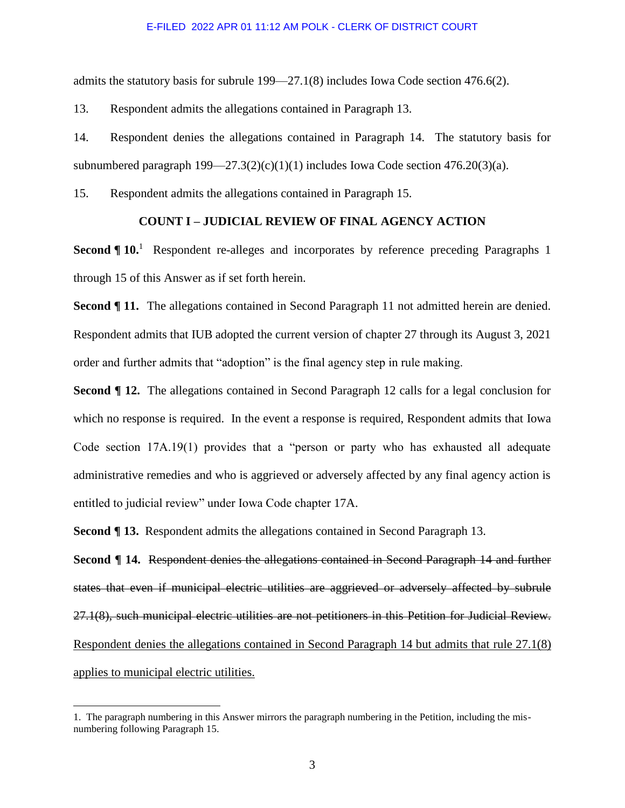admits the statutory basis for subrule 199—27.1(8) includes Iowa Code section 476.6(2).

13. Respondent admits the allegations contained in Paragraph 13.

14. Respondent denies the allegations contained in Paragraph 14. The statutory basis for subnumbered paragraph  $199 - 27.3(2)(c)(1)(1)$  includes Iowa Code section  $476.20(3)(a)$ .

15. Respondent admits the allegations contained in Paragraph 15.

### **COUNT I – JUDICIAL REVIEW OF FINAL AGENCY ACTION**

**Second ¶ 10.**<sup>1</sup> Respondent re-alleges and incorporates by reference preceding Paragraphs 1 through 15 of this Answer as if set forth herein.

**Second ¶ 11.** The allegations contained in Second Paragraph 11 not admitted herein are denied. Respondent admits that IUB adopted the current version of chapter 27 through its August 3, 2021 order and further admits that "adoption" is the final agency step in rule making.

**Second ¶ 12.** The allegations contained in Second Paragraph 12 calls for a legal conclusion for which no response is required. In the event a response is required, Respondent admits that Iowa Code section 17A.19(1) provides that a "person or party who has exhausted all adequate administrative remedies and who is aggrieved or adversely affected by any final agency action is entitled to judicial review" under Iowa Code chapter 17A.

**Second ¶ 13.** Respondent admits the allegations contained in Second Paragraph 13.

**Second ¶ 14.** Respondent denies the allegations contained in Second Paragraph 14 and further states that even if municipal electric utilities are aggrieved or adversely affected by subrule 27.1(8), such municipal electric utilities are not petitioners in this Petition for Judicial Review. Respondent denies the allegations contained in Second Paragraph 14 but admits that rule 27.1(8) applies to municipal electric utilities.

 $\overline{a}$ 

<sup>1.</sup> The paragraph numbering in this Answer mirrors the paragraph numbering in the Petition, including the misnumbering following Paragraph 15.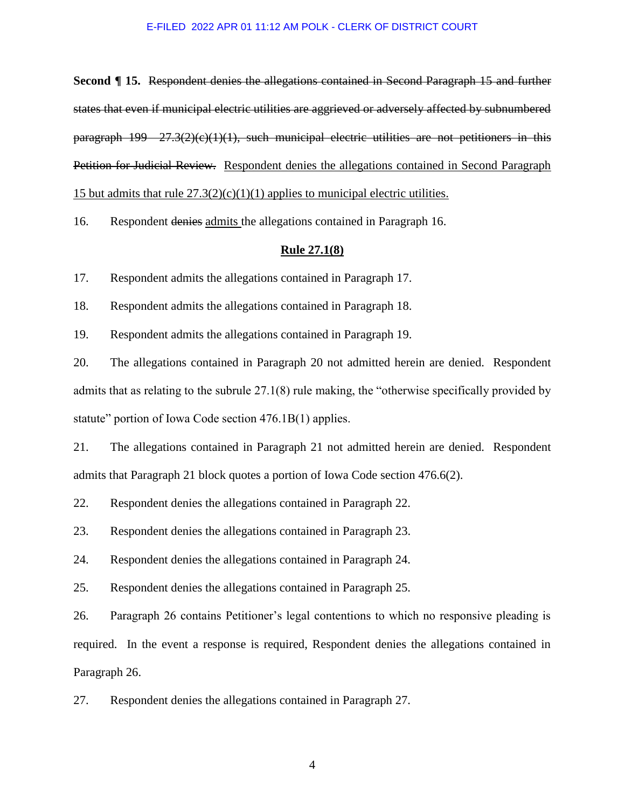**Second ¶ 15.** Respondent denies the allegations contained in Second Paragraph 15 and further states that even if municipal electric utilities are aggrieved or adversely affected by subnumbered paragraph  $199 - 27.3(2)(e)(1)(1)$ , such municipal electric utilities are not petitioners in this Petition for Judicial Review. Respondent denies the allegations contained in Second Paragraph 15 but admits that rule  $27.3(2)(c)(1)(1)$  applies to municipal electric utilities.

16. Respondent denies admits the allegations contained in Paragraph 16.

### **Rule 27.1(8)**

17. Respondent admits the allegations contained in Paragraph 17.

18. Respondent admits the allegations contained in Paragraph 18.

19. Respondent admits the allegations contained in Paragraph 19.

20. The allegations contained in Paragraph 20 not admitted herein are denied. Respondent admits that as relating to the subrule 27.1(8) rule making, the "otherwise specifically provided by statute" portion of Iowa Code section 476.1B(1) applies.

21. The allegations contained in Paragraph 21 not admitted herein are denied. Respondent admits that Paragraph 21 block quotes a portion of Iowa Code section 476.6(2).

22. Respondent denies the allegations contained in Paragraph 22.

23. Respondent denies the allegations contained in Paragraph 23.

24. Respondent denies the allegations contained in Paragraph 24.

25. Respondent denies the allegations contained in Paragraph 25.

26. Paragraph 26 contains Petitioner's legal contentions to which no responsive pleading is required. In the event a response is required, Respondent denies the allegations contained in Paragraph 26.

27. Respondent denies the allegations contained in Paragraph 27.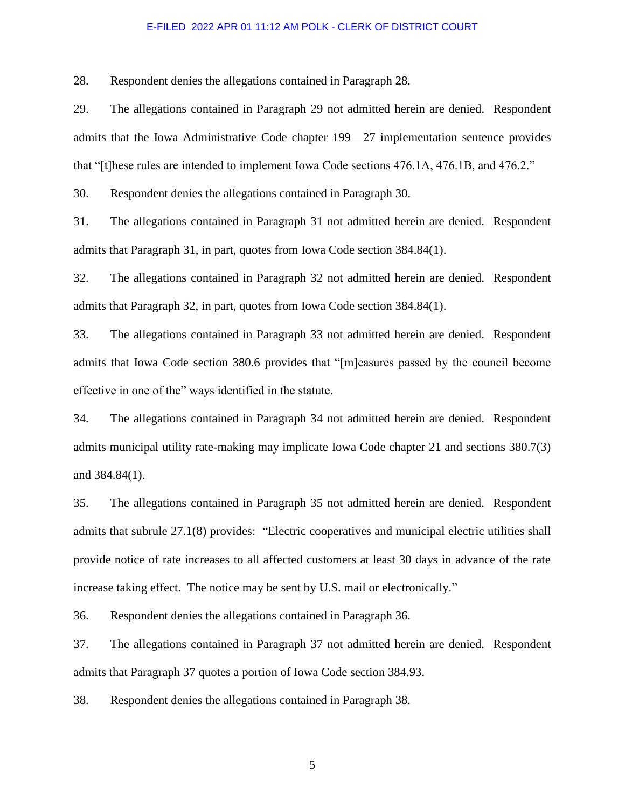28. Respondent denies the allegations contained in Paragraph 28.

29. The allegations contained in Paragraph 29 not admitted herein are denied. Respondent admits that the Iowa Administrative Code chapter 199—27 implementation sentence provides that "[t]hese rules are intended to implement Iowa Code sections 476.1A, 476.1B, and 476.2."

30. Respondent denies the allegations contained in Paragraph 30.

31. The allegations contained in Paragraph 31 not admitted herein are denied. Respondent admits that Paragraph 31, in part, quotes from Iowa Code section 384.84(1).

32. The allegations contained in Paragraph 32 not admitted herein are denied. Respondent admits that Paragraph 32, in part, quotes from Iowa Code section 384.84(1).

33. The allegations contained in Paragraph 33 not admitted herein are denied. Respondent admits that Iowa Code section 380.6 provides that "[m]easures passed by the council become effective in one of the" ways identified in the statute.

34. The allegations contained in Paragraph 34 not admitted herein are denied. Respondent admits municipal utility rate-making may implicate Iowa Code chapter 21 and sections 380.7(3) and 384.84(1).

35. The allegations contained in Paragraph 35 not admitted herein are denied. Respondent admits that subrule 27.1(8) provides: "Electric cooperatives and municipal electric utilities shall provide notice of rate increases to all affected customers at least 30 days in advance of the rate increase taking effect. The notice may be sent by U.S. mail or electronically."

36. Respondent denies the allegations contained in Paragraph 36.

37. The allegations contained in Paragraph 37 not admitted herein are denied. Respondent admits that Paragraph 37 quotes a portion of Iowa Code section 384.93.

38. Respondent denies the allegations contained in Paragraph 38.

5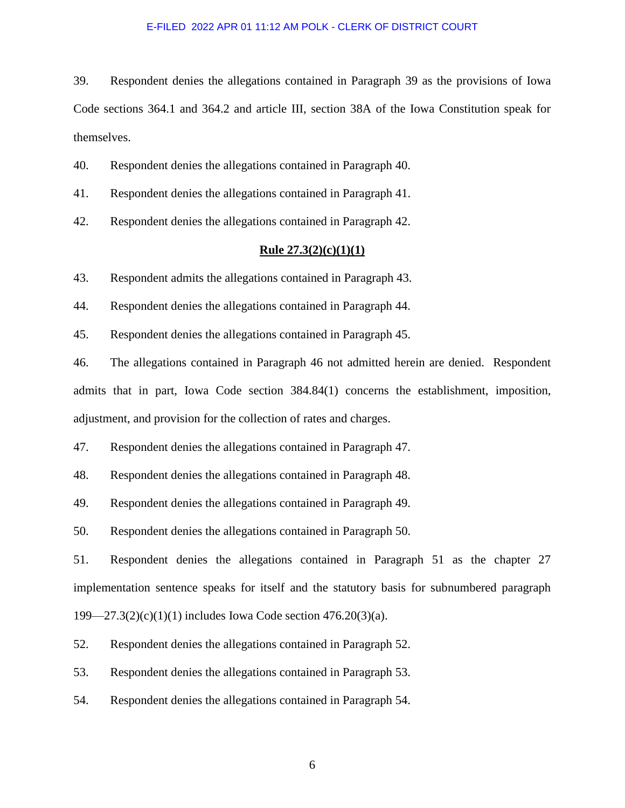39. Respondent denies the allegations contained in Paragraph 39 as the provisions of Iowa Code sections 364.1 and 364.2 and article III, section 38A of the Iowa Constitution speak for themselves.

40. Respondent denies the allegations contained in Paragraph 40.

41. Respondent denies the allegations contained in Paragraph 41.

42. Respondent denies the allegations contained in Paragraph 42.

### **Rule 27.3(2)(c)(1)(1)**

43. Respondent admits the allegations contained in Paragraph 43.

44. Respondent denies the allegations contained in Paragraph 44.

45. Respondent denies the allegations contained in Paragraph 45.

46. The allegations contained in Paragraph 46 not admitted herein are denied. Respondent admits that in part, Iowa Code section 384.84(1) concerns the establishment, imposition, adjustment, and provision for the collection of rates and charges.

47. Respondent denies the allegations contained in Paragraph 47.

48. Respondent denies the allegations contained in Paragraph 48.

49. Respondent denies the allegations contained in Paragraph 49.

50. Respondent denies the allegations contained in Paragraph 50.

51. Respondent denies the allegations contained in Paragraph 51 as the chapter 27 implementation sentence speaks for itself and the statutory basis for subnumbered paragraph 199—27.3(2)(c)(1)(1) includes Iowa Code section 476.20(3)(a).

52. Respondent denies the allegations contained in Paragraph 52.

53. Respondent denies the allegations contained in Paragraph 53.

54. Respondent denies the allegations contained in Paragraph 54.